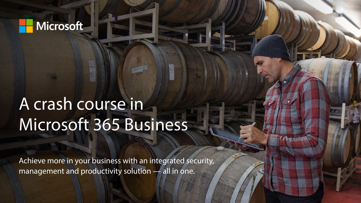

# A crash course in Microsoft 365 Business

Achieve more in your business with an integrated security, management and productivity solution — all in one.

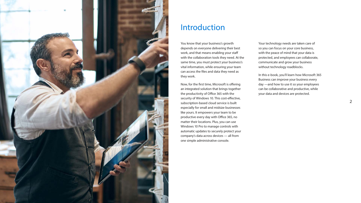

# Introduction

You know that your business's growth depends on everyone delivering their best work, and that means enabling your staff with the collaboration tools they need. At the same time, you must protect your business's vital information, while ensuring your team can access the files and data they need as they work.

Now, for the first time, Microsoft is offering an integrated solution that brings together the productivity of Office 365 with the security of Windows 10. This cost-effective, subscription-based cloud service is built especially for small and midsize businesses like yours. It empowers your team to be productive every day with Office 365, no matter their locations. Plus, you can use Windows 10 Pro to manage controls with automatic updates to securely protect your company's data across devices — all from one simple administrative console.

Your technology needs are taken care of so you can focus on your core business, with the peace of mind that your data is protected, and employees can collaborate, communicate and grow your business without technology roadblocks.

In this e-book, you'll learn how Microsoft 365 Business can improve your business every day —and how to use it so your employees can be collaborative and productive, while your data and devices are protected.

2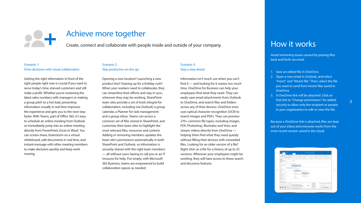#### Scenario 1: Drive decisions with visual collaboration

Getting the right information in front of the right people right now is crucial if you want to serve today's time-starved customers and still make a profit. Whether you're reviewing the latest sales numbers with managers or making a group pitch to a hot lead, presenting information visually in real time improves the experience and gets you to the next step faster. With Teams, part of Office 365, it's easy to schedule an online meeting from Outlook or immediately jump into an online meeting directly from PowerPoint, Excel or Word. You can screen-share, brainstorm on a virtual whiteboard, edit documents in real time, and instant-message with other meeting members to make decisions quickly and keep work moving.

### Scenario 2: Stay productive on-the-go

Opening a new location? Launching a new product line? Gearing up for a holiday rush? When your workers need to collaborate, they can streamline their efforts and stay in sync, wherever they may be working. SharePoint team sites provide a set of tools integral for collaboration, including (via Outlook) a group calendar, a Planner for task management and a group inbox. Teams can access a common set of files stored in SharePoint, and customize their team sites to highlight the most relevant files, resources and content. Adding or removing members updates the team site's permissions automatically in both SharePoint and Outlook, so information is securely shared with the right team members — all without users having to call you or an IT resource for help. Put simply, with Microsoft 365 Business, teams are empowered to build collaboration spaces as needed.

### Scenario 3: Stay a step ahead

Information isn't much use when you can't find it — and looking for it wastes too much time. OneDrive for Business can help your employees find what they need. They can easily save email attachments from Outlook to OneDrive, and search files and folders across any of their devices. OneDrive even uses optical character recognition (OCR) to search images and PDFs. They can preview 270+ common file types, including images, PDF, Photoshop, Illustrator and Visio, and stream videos directly from OneDrive helping them find what they need quickly without filling their devices with unneeded files. Looking for an older version of a file? Right-click on a file for a history of up to 25 versions. Wherever your employees might be working, they will have access to these search and discovery features.



# Achieve more together

Create, connect and collaborate with people inside and outside of your company.

Avoid versioning issues caused by passing files back and forth via email.

- 1. Save an edited file in OneDrive.
- 2. Open a new email in Outlook, and select "Insert" and "Attach file." Then, select the file you want to send from recent files saved in OneDrive.
- 3. A OneDrive link will be attached. Click on that link to "Change permissions" for added security to allow only the recipient or people in your organization to edit or view the file.

Because a OneDrive link is attached, files are kept out of your inbox and everyone works from the most recent version saved in the cloud.

| 144<br><b>Market</b><br><b>Coast Bandy</b><br><b>COMPOS</b><br><b>Barcattac</b>                                                                                                                                      | $\mathbf{u}$<br>٠<br>Art star School<br>Allan C. Mayer C. B. | <b>Salesman Contract Bank Co</b><br><b>Sept 2</b><br>-<br>m<br><b>September</b><br>----<br>$-1$<br><b>Contractor</b><br>$\sim$                                                                                        | <b>Telephone Bengaline</b><br>New Christophe purpose to a<br>$-$<br>$\sim$<br>$\sim$<br>Little Koon.<br>11                                                | <b>SCALDANT</b><br><b>SCALE</b><br>Created Box - Third or Inde 11<br>Killedgare<br>all models out of theself built- | ٠<br>The president of<br>(Claims)<br><b>RI-lockert</b><br>TO ANGELES AND                                                        |  |
|----------------------------------------------------------------------------------------------------------------------------------------------------------------------------------------------------------------------|--------------------------------------------------------------|-----------------------------------------------------------------------------------------------------------------------------------------------------------------------------------------------------------------------|-----------------------------------------------------------------------------------------------------------------------------------------------------------|---------------------------------------------------------------------------------------------------------------------|---------------------------------------------------------------------------------------------------------------------------------|--|
| <b>ISBAN TT</b><br><b>Senior metrop</b><br>Dealership Market<br><b>STATISTICS</b>                                                                                                                                    | $\sim$<br>3.5<br>÷<br>and .<br>Total Color                   | <b>Greenly family</b><br><b>Books Linkedo</b>                                                                                                                                                                         |                                                                                                                                                           |                                                                                                                     |                                                                                                                                 |  |
| <b>Explanation</b><br>$mass-81$<br>Builty 1<br>Spring German<br><b>Singled Select</b><br>Robert.<br>Change 1<br><b>Executive Rent</b><br><b>SAN BOAT</b><br><b>Similar</b><br><b>STORAGE</b><br>ment colour<br>Empty | di administrativa<br>kal that begins to site count a         | <b>Market Ave. Track</b><br><b>CARD AT AN ADDRESS</b><br>to them.<br><b>Garrisounder</b><br>detects an Conter<br>T. Hanne Installation 11<br>* Jack Fack<br>M. Jan W.<br>A. Great Moderat<br>100<br>70 km<br>TO SALEM | Aspena Tar-Adr-<br>Mores (planet<br>Durance Sy 18<br>hipping Calvi Free<br>Resignation Ford Active<br>terested Ltd Tree<br>and an other and of policinals |                                                                                                                     |                                                                                                                                 |  |
| Drillin Arrivan (D)                                                                                                                                                                                                  | $\frac{d}{dt}$                                               | one via<br>ma many shirt and similar states com-<br>lisher those sensitives also in a set available<br>for lating \$700 faces wouldnesd the Austi-<br>take to go is about us report to continue code it               | <b>ALL AFF</b>                                                                                                                                            |                                                                                                                     | the longitudes. Face ranks, FacePlastravia<br><b>TO party at the Control of the Con-</b><br><b>Place/acts Muscle/ List 21.6</b> |  |

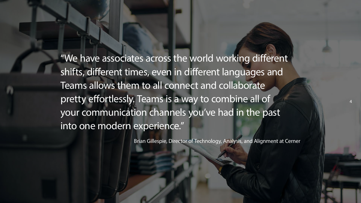"We have associates across the world working different shifts, different times, even in different languages and Teams allows them to all connect and collaborate pretty effortlessly. Teams is a way to combine all of your communication channels you've had in the past into one modern experience."

Brian Gillespie, Director of Technology, Analysis, and Alignment at Cerner

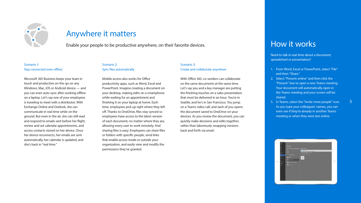#### Scenario 1: Stay connected even offline

Microsoft 365 Business keeps your team in touch and productive on-the-go on any Windows, Mac, iOS or Android device — and you can even auto-sync after working offline on a laptop. Let's say one of your employees is traveling to meet with a distributor. With Exchange Online and Outlook, she can communicate in real time while on the ground. But even in the air, she can still read and respond to emails sent before her flight, review and set calendar appointments, and access contacts stored on her device. Once her device reconnects, her emails are sent automatically, her calendar is updated, and she's back in "real time."

### Scenario 2: Sync files automatically

Mobile access also works for Office productivity apps, such as Word, Excel and PowerPoint. Imagine creating a document on your desktop, making edits on a smartphone while waiting for an appointment and finishing it on your laptop at home. Each time, employees pick up right where they left off. Thanks to OneDrive, files stay synced so employees have access to the latest version of each document, no matter where they are, allowing every user to work remotely. And sharing files is easy: Employees can share files or folders with specific people, send links that enable access inside or outside your organization, and easily view and modify the permissions they've granted.

Scenario 3: Create and collaborate anywhere

With Office 365, co-workers can collaborate on the same documents at the same time. Let's say you and a key manager are putting the finishing touches on a sales presentation that must be delivered in an hour. You're in Seattle, and he's in San Francisco. You jump on a Teams video call, and each of you opens the document saved to OneDrive on your devices. As you review the document, you can quickly make decisions and edits together, rather than laboriously swapping versions back and forth via email.



# Anywhere it matters

Enable your people to be productive anywhere, on their favorite devices.<br>  $\blacksquare$  How it works

Need to talk in real-time about a document, spreadsheet or presentation?

- 1. From Word, Excel or PowerPoint, select "File" and then "Share."
- 2. Select "Present online" and then click the "Present" box to open a new Teams meeting. Your document will automatically open in the Teams meeting and your screen will be shared.
- 3. In Teams, select the "Invite more people" icon. As you type your colleagues' names, you can even see if they're already in another Teams meeting or when they were last online.

|         | Θ                         |                                                                                                         | and development and<br>$\sim$ |  |
|---------|---------------------------|---------------------------------------------------------------------------------------------------------|-------------------------------|--|
|         |                           | Share                                                                                                   |                               |  |
|         | E                         | Of Siesletter February final is the cent Orbits<br>The Siesletter Schwarzen<br>The Siesletter Schwarzen |                               |  |
|         | E                         | State                                                                                                   | 5<br><b>CONTRACTOR</b>        |  |
|         | ۰                         | <b>Then sell finals</b>                                                                                 | <b>A Done who were to do</b>  |  |
|         | <b>base</b><br><b>Hop</b> | me.                                                                                                     | Ψ<br><b>Sauce</b>             |  |
|         |                           | power Continue                                                                                          |                               |  |
| $\cdot$ | H                         | <b>Card in reset through</b>                                                                            |                               |  |
|         |                           | <b>B</b> Parados                                                                                        |                               |  |
|         |                           |                                                                                                         |                               |  |
|         |                           |                                                                                                         |                               |  |
|         |                           |                                                                                                         |                               |  |
|         |                           |                                                                                                         |                               |  |
|         |                           |                                                                                                         |                               |  |
|         |                           |                                                                                                         |                               |  |



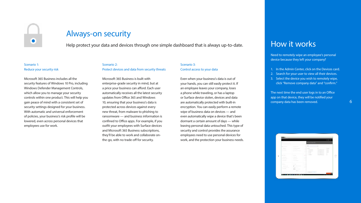### Scenario 1: Reduce your security risk

Microsoft 365 Business includes all the security features of Windows 10 Pro, including Windows Defender Management Controls, which allow you to manage your security controls within one product. This will help you gain peace of mind with a consistent set of security settings designed for your business. With automatic and universal enforcement of policies, your business's risk profile will be lowered, even across personal devices that employees use for work.



# Always-on security

Help protect your data and devices through one simple dashboard that is always up-to-date.

#### Scenario 2:

Protect devices and data from security threats

Microsoft 365 Business is built with enterprise-grade security in mind, but at a price your business can afford. Each user automatically receives all the latest security updates from Office 365 and Windows 10, ensuring that your business's data is protected across devices against every new threat, from malware to phishing to ransomware — and business information is confined to Office apps. For example, if you outfit your employees with Surface devices and Microsoft 365 Business subscriptions, they'll be able to work and collaborate onthe-go, with no trade-off for security.

The next time the end user logs in to an Office app on that device, they will be notified your company data has been removed. The same state of  $\sim 6$ 

| <b>Model D</b>                               |                                                 |                   |                                                                                                                                                                                                                                                                                                                                                                                                                                                                            |                                                                         |                                       |
|----------------------------------------------|-------------------------------------------------|-------------------|----------------------------------------------------------------------------------------------------------------------------------------------------------------------------------------------------------------------------------------------------------------------------------------------------------------------------------------------------------------------------------------------------------------------------------------------------------------------------|-------------------------------------------------------------------------|---------------------------------------|
|                                              |                                                 |                   | <b>B</b> toxicus company data                                                                                                                                                                                                                                                                                                                                                                                                                                              |                                                                         |                                       |
| B" Second Car                                | $+ - - + -$                                     |                   | party.<br>$-1$                                                                                                                                                                                                                                                                                                                                                                                                                                                             | 2                                                                       |                                       |
| all company of                               | of the company of                               | a sa              | $\frac{1}{2} \left( \frac{1}{2} \right) \left( \frac{1}{2} \right) \left( \frac{1}{2} \right) \left( \frac{1}{2} \right) \left( \frac{1}{2} \right) \left( \frac{1}{2} \right) \left( \frac{1}{2} \right) \left( \frac{1}{2} \right) \left( \frac{1}{2} \right) \left( \frac{1}{2} \right) \left( \frac{1}{2} \right) \left( \frac{1}{2} \right) \left( \frac{1}{2} \right) \left( \frac{1}{2} \right) \left( \frac{1}{2} \right) \left( \frac{1}{2} \right) \left( \frac$ | $\frac{1}{2}$                                                           | <b>THEFT</b><br>- 19                  |
| 27 Southern<br>1 construc-                   | the former dealer<br>at the company of the same | $-1 - 1$<br>$-11$ | $-$ 00114 1440<br>$-$ 05-e7919).                                                                                                                                                                                                                                                                                                                                                                                                                                           | The paint of the top fillings ship.<br>The same of the same filled with | <b>CONTRACTOR</b><br><b>Distances</b> |
|                                              |                                                 | $-1$              | 1.2 Mod-mod                                                                                                                                                                                                                                                                                                                                                                                                                                                                | The amount discussion in the                                            | <b>House</b>                          |
|                                              |                                                 |                   | 12 Worker                                                                                                                                                                                                                                                                                                                                                                                                                                                                  | The member of the retirement                                            | 151                                   |
| at home                                      | St. Joan Jr.                                    | $+ -$             | [2] madride P                                                                                                                                                                                                                                                                                                                                                                                                                                                              | the president in a street and                                           | $\sim$<br><b>MAY 18</b><br>÷.         |
| of the company                               | the characteristic                              | <b>A SCORE</b>    |                                                                                                                                                                                                                                                                                                                                                                                                                                                                            |                                                                         |                                       |
| (P. Holmsterman)<br>$\beta'$ . In convert-   | Il 1999 p.m.<br>27. 9.00 to 200 cm              | 1.14<br>1.14      |                                                                                                                                                                                                                                                                                                                                                                                                                                                                            |                                                                         |                                       |
| The Wagner and Chi                           | <b>L. Team and a</b>                            | $-1.14$           |                                                                                                                                                                                                                                                                                                                                                                                                                                                                            |                                                                         |                                       |
| ما المناسب<br><b>CONTRACTOR</b>              | D' News                                         | 11.14             |                                                                                                                                                                                                                                                                                                                                                                                                                                                                            |                                                                         |                                       |
| <b>Contract</b><br>The Committee of the Con- | <b>And Controller</b>                           | <b>START</b>      |                                                                                                                                                                                                                                                                                                                                                                                                                                                                            |                                                                         |                                       |
| (F1) Service commercials                     | To all Process                                  | $-11.14$          |                                                                                                                                                                                                                                                                                                                                                                                                                                                                            |                                                                         |                                       |
| a content                                    | Е<br>and the company of the                     |                   |                                                                                                                                                                                                                                                                                                                                                                                                                                                                            |                                                                         |                                       |
|                                              | <b>Billian</b>                                  |                   | <b>Comment</b><br><b>Contract</b>                                                                                                                                                                                                                                                                                                                                                                                                                                          |                                                                         |                                       |





### Scenario 3: Control access to your data

Even when your business's data is out of your hands, you can still easily protect it. If an employee leaves your company, loses a phone while traveling, or has a laptop or Surface device stolen, devices and data are automatically protected with built-in encryption. You can easily perform a remote wipe of business data on devices — and even automatically wipe a device that's been dormant a certain amount of days — while leaving personal data untouched. This type of security and control provides the assurance employees need to use personal devices for work, and the protection your business needs.

### How it works

Need to remotely wipe an employee's personal device because they left your company?

- 1. In the Admin Center, click on the Devices card.
- 2. Search for your user to view all their devices.
- 3. Select the device you wish to remotely wipe, click "Remove company data" and "confirm."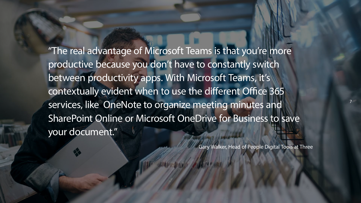"The real advantage of Microsoft Teams is that you're more productive because you don't have to constantly switch between productivity apps. With Microsoft Teams, it's contextually evident when to use the different Office 365 services, like OneNote to organize meeting minutes and SharePoint Online or Microsoft OneDrive for Business to save your document."

Gary Walker, Head of People Digital Tools at Three

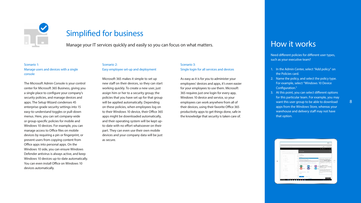### Scenario 1: Manage users and devices with a single console

The Microsoft Admin Console is your control center for Microsoft 365 Business, giving you a single place to configure your company's security policies, and manage devices and apps. The Setup Wizard condenses 45 enterprise-grade security settings into 15 easy-to-understand toggles or pull-down menus. Here, you can set company-wide or group-specific policies for mobile and Windows 10 devices. For example, you can manage access to Office files on mobile devices by requiring a pin or fingerprint, or prevent users from copying content from Office apps into personal apps. On the Windows 10 side, you can ensure Windows Defender antivirus is always active, and keep Windows 10 devices up-to-date automatically. You can even install Office on Windows 10 devices automatically.



# Simplified for business

Manage your IT services quickly and easily so you can focus on what matters.

#### Scenario 2:

Easy employee set-up and deployment

Microsoft 365 makes it simple to set up new staff on their devices, so they can start working quickly. To create a new user, just assign him or her to a security group; the policies that you have set up for that group will be applied automatically. Depending on these policies, when employees log on to their Windows 10 device, their Office 365 apps might be downloaded automatically, and their operating system will be kept upto-date with no effort whatsoever on their part. They can even use their own mobile devices and your company data will be just as secure.

### Scenario 3: Single login for all services and devices

As easy as it is for you to administer your employees' devices and apps, it's even easier for your employees to use them. Microsoft 365 requires just one login for every app, Windows 10 device and service, so your employees can work anywhere from all of their devices, using their favorite Office 365 productivity apps to get things done, safe in the knowledge that security is taken care of.

# How it works

Need different policies for different user types, such as your executive team?

- 1. In the Admin Center, select "Add policy" on the Policies card.
- 2. Name the policy, and select the policy type. For example, select "Windows 10 Device Configuration."
- 3. At this point, you can select different options for this particular team. For example, you may want this user group to be able to download apps from the Windows Store, whereas your warehouse and delivery staff may not have that option.



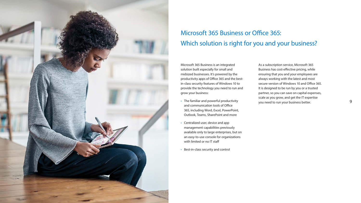Microsoft 365 Business is an integrated solution built especially for small and midsized businesses. It's powered by the productivity apps of Office 365 and the bestin-class security features of Windows 10 to provide the technology you need to run and grow your business:

- The familiar and powerful productivity and communication tools of Office 365, including Word, Excel, PowerPoint, Outlook, Teams, SharePoint and more
- Centralized user, device and app management capabilities previously available only to large enterprises, but on an easy-to-use console for organizations with limited or no IT staff
- Best-in-class security and control

As a subscription service, Microsoft 365 Business has cost-effective pricing, while ensuring that you and your employees are always working with the latest and most secure version of Windows 10 and Office 365. It is designed to be run by you or a trusted partner, so you can save on capital expenses, scale as you grow, and get the IT expertise you need to run your business better.



# Microsoft 365 Business or Office 365: Which solution is right for you and your business?

9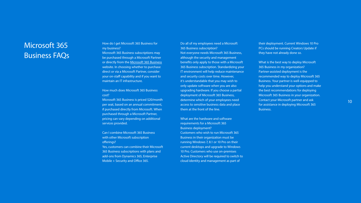How do I get Microsoft 365 Business for my business?

Microsoft 365 Business subscriptions may be purchased through a Microsoft Partner or directly from the [Microsoft 365 Business](https://www.microsoft.com/en-us/microsoft-365/business) website. In choosing whether to purchase direct or via a Microsoft Partner, consider your on-staff capability and if you want to maintain an IT infrastructure.

#### How much does Microsoft 365 Business cost?

Microsoft 365 Business is priced \$20/month per seat, based on an annual commitment, if purchased directly from Microsoft. When purchased through a Microsoft Partner, pricing can vary depending on additional services provided.

Can I combine Microsoft 365 Business with other Microsoft subscription offerings?

Yes, customers can combine their Microsoft 365 Business subscriptions with plans and add-ons from Dynamics 365, Enterprise Mobile + Security and Office 365.

Do all of my employees need a Microsoft 365 Business subscription? Not everyone needs Microsoft 365 Business, although the security and management benefits only apply to those with a Microsoft 365 Business subscription. Standardizing your IT environment will help reduce maintenance and security costs over time. However, it's understandable that you may wish to only update software when you are also upgrading hardware. If you choose a partial deployment of Microsoft 365 Business, determine which of your employees need access to sensitive business data and place them at the front of the line.

What are the hardware and software requirements for a Microsoft 365 Business deployment? Customers who wish to run Microsoft 365 Business in their organization must be running Windows 7, 8.1 or 10 Pro on their current desktops and upgrade to Windows 10 Pro. Customers who use on-premises Active Directory will be required to switch to cloud identity and management as part of

their deployment. Current Windows 10 Pro PCs should be running Creators Update if they have not already done so.

What is the best way to deploy Microsoft 365 Business in my organization? Partner-assisted deployment is the recommended way to deploy Microsoft 365 Business. Your partner is well-equipped to help you understand your options and make the best recommendations for deploying Microsoft 365 Business in your organization. Contact your Microsoft partner and ask for assistance in deploying Microsoft 365 Business.

### Microsoft 365 Business FAQs